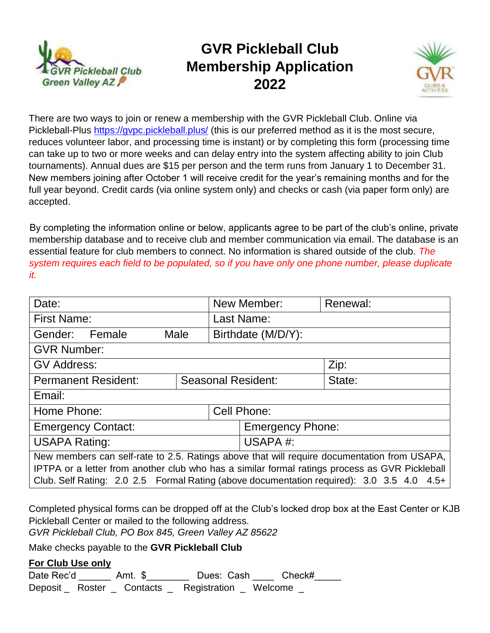

# **GVR Pickleball Club Membership Application 2022**



There are two ways to join or renew a membership with the GVR Pickleball Club. Online via Pickleball-Plus<https://gvpc.pickleball.plus/> (this is our preferred method as it is the most secure, reduces volunteer labor, and processing time is instant) or by completing this form (processing time can take up to two or more weeks and can delay entry into the system affecting ability to join Club tournaments). Annual dues are \$15 per person and the term runs from January 1 to December 31. New members joining after October 1 will receive credit for the year's remaining months and for the full year beyond. Credit cards (via online system only) and checks or cash (via paper form only) are accepted.

By completing the information online or below, applicants agree to be part of the club's online, private membership database and to receive club and member communication via email. The database is an essential feature for club members to connect. No information is shared outside of the club. *The system requires each field to be populated, so if you have only one phone number, please duplicate it.*

| Date:                                                                                          |  |                    | New Member:             | Renewal: |  |
|------------------------------------------------------------------------------------------------|--|--------------------|-------------------------|----------|--|
| <b>First Name:</b>                                                                             |  |                    | Last Name:              |          |  |
| Gender: Female<br>Male                                                                         |  | Birthdate (M/D/Y): |                         |          |  |
| <b>GVR Number:</b>                                                                             |  |                    |                         |          |  |
| <b>GV Address:</b>                                                                             |  |                    |                         | Zip:     |  |
| <b>Permanent Resident:</b><br><b>Seasonal Resident:</b>                                        |  |                    | State:                  |          |  |
| Email:                                                                                         |  |                    |                         |          |  |
| Home Phone:                                                                                    |  |                    | Cell Phone:             |          |  |
| <b>Emergency Contact:</b>                                                                      |  |                    | <b>Emergency Phone:</b> |          |  |
| <b>USAPA Rating:</b>                                                                           |  |                    | USAPA#:                 |          |  |
| New members can self-rate to 2.5. Ratings above that will require documentation from USAPA,    |  |                    |                         |          |  |
| IPTPA or a letter from another club who has a similar formal ratings process as GVR Pickleball |  |                    |                         |          |  |
| Club. Self Rating: 2.0 2.5 Formal Rating (above documentation required): 3.0 3.5 4.0 4.5+      |  |                    |                         |          |  |

Completed physical forms can be dropped off at the Club's locked drop box at the East Center or KJB Pickleball Center or mailed to the following address.

*GVR Pickleball Club, PO Box 845, Green Valley AZ 85622*

Make checks payable to the **GVR Pickleball Club**

### **For Club Use only**

Date Rec'd \_\_\_\_\_\_\_ Amt. \$ \_\_\_\_\_\_\_\_ Dues: Cash \_\_\_\_\_ Check# Deposit \_ Roster \_ Contacts \_ Registration \_ Welcome \_